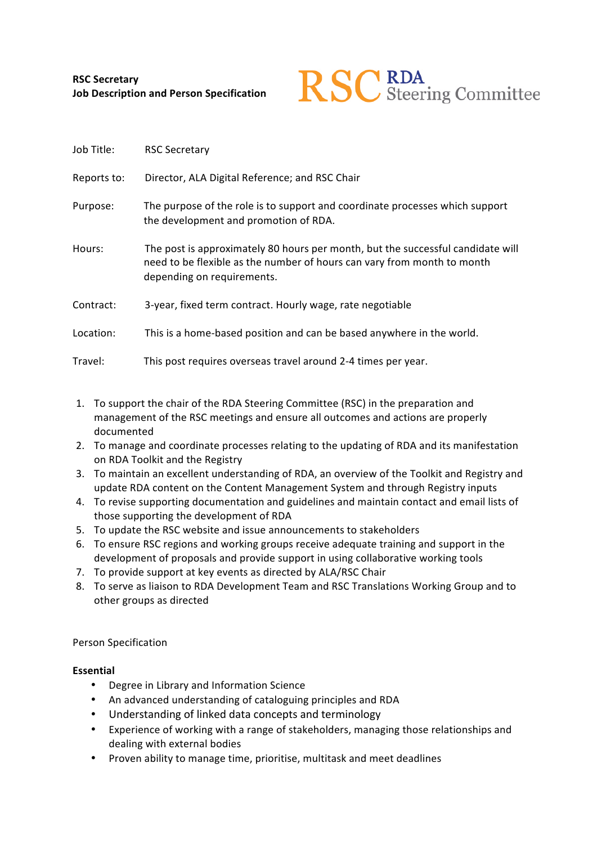

| Job Title:  | <b>RSC Secretary</b>                                                                                                                                                                     |
|-------------|------------------------------------------------------------------------------------------------------------------------------------------------------------------------------------------|
| Reports to: | Director, ALA Digital Reference; and RSC Chair                                                                                                                                           |
| Purpose:    | The purpose of the role is to support and coordinate processes which support<br>the development and promotion of RDA.                                                                    |
| Hours:      | The post is approximately 80 hours per month, but the successful candidate will<br>need to be flexible as the number of hours can vary from month to month<br>depending on requirements. |
| Contract:   | 3-year, fixed term contract. Hourly wage, rate negotiable                                                                                                                                |
| Location:   | This is a home-based position and can be based anywhere in the world.                                                                                                                    |
| Travel:     | This post requires overseas travel around 2-4 times per year.                                                                                                                            |

- 1. To support the chair of the RDA Steering Committee (RSC) in the preparation and management of the RSC meetings and ensure all outcomes and actions are properly documented
- 2. To manage and coordinate processes relating to the updating of RDA and its manifestation on RDA Toolkit and the Registry
- 3. To maintain an excellent understanding of RDA, an overview of the Toolkit and Registry and update RDA content on the Content Management System and through Registry inputs
- 4. To revise supporting documentation and guidelines and maintain contact and email lists of those supporting the development of RDA
- 5. To update the RSC website and issue announcements to stakeholders
- 6. To ensure RSC regions and working groups receive adequate training and support in the development of proposals and provide support in using collaborative working tools
- 7. To provide support at key events as directed by ALA/RSC Chair
- 8. To serve as liaison to RDA Development Team and RSC Translations Working Group and to other groups as directed

# Person Specification

# **Essential**

- Degree in Library and Information Science
- An advanced understanding of cataloguing principles and RDA
- Understanding of linked data concepts and terminology
- Experience of working with a range of stakeholders, managing those relationships and dealing with external bodies
- Proven ability to manage time, prioritise, multitask and meet deadlines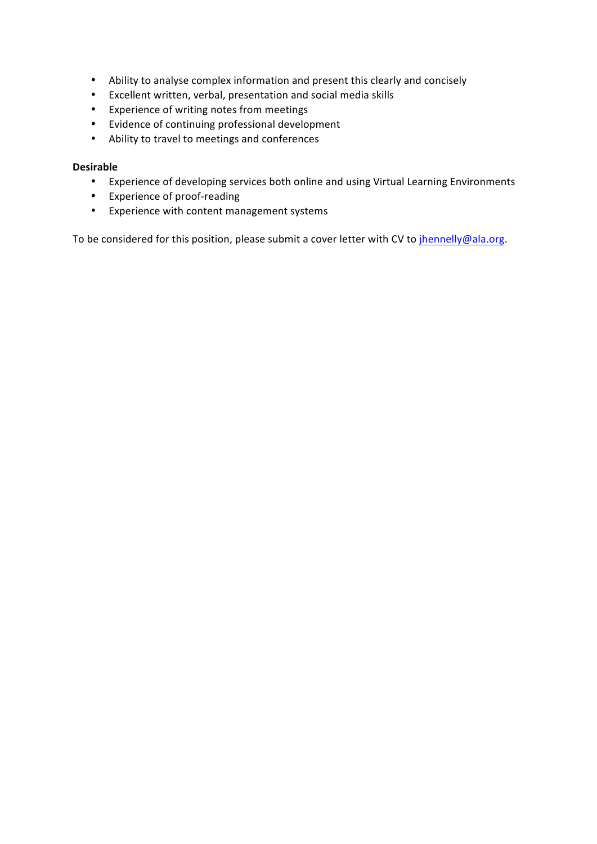- Ability to analyse complex information and present this clearly and concisely
- Excellent written, verbal, presentation and social media skills
- Experience of writing notes from meetings
- Evidence of continuing professional development
- Ability to travel to meetings and conferences

# **Desirable**

- Experience of developing services both online and using Virtual Learning Environments
- Experience of proof-reading
- Experience with content management systems

To be considered for this position, please submit a cover letter with CV to jhennelly@ala.org.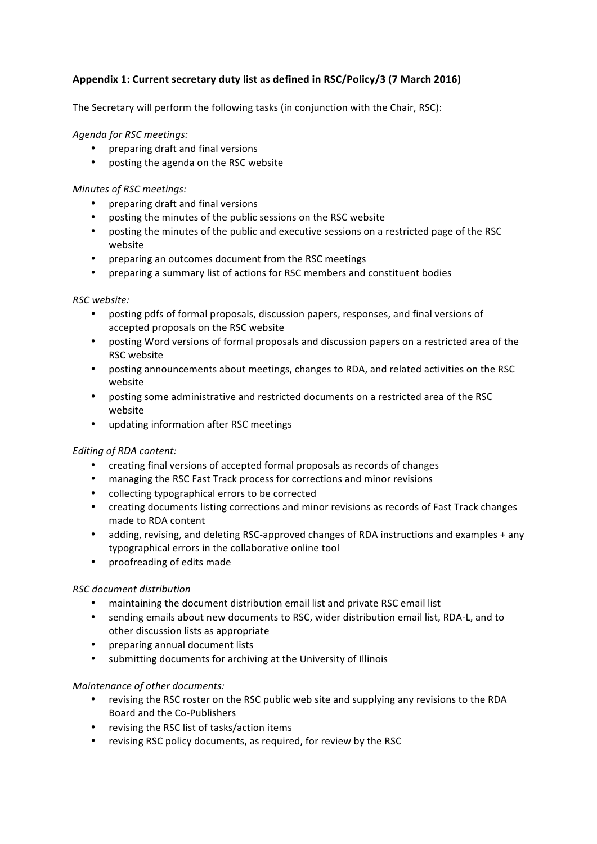# Appendix 1: Current secretary duty list as defined in RSC/Policy/3 (7 March 2016)

The Secretary will perform the following tasks (in conjunction with the Chair, RSC):

# *Agenda for RSC meetings:*

- preparing draft and final versions
- posting the agenda on the RSC website

### *Minutes of RSC meetings:*

- preparing draft and final versions
- posting the minutes of the public sessions on the RSC website
- posting the minutes of the public and executive sessions on a restricted page of the RSC website
- preparing an outcomes document from the RSC meetings
- preparing a summary list of actions for RSC members and constituent bodies

### *RSC website:*

- posting pdfs of formal proposals, discussion papers, responses, and final versions of accepted proposals on the RSC website
- posting Word versions of formal proposals and discussion papers on a restricted area of the RSC website
- posting announcements about meetings, changes to RDA, and related activities on the RSC website
- posting some administrative and restricted documents on a restricted area of the RSC website
- updating information after RSC meetings

### *Editing of RDA content:*

- creating final versions of accepted formal proposals as records of changes
- managing the RSC Fast Track process for corrections and minor revisions
- collecting typographical errors to be corrected
- creating documents listing corrections and minor revisions as records of Fast Track changes made to RDA content
- adding, revising, and deleting RSC-approved changes of RDA instructions and examples + any typographical errors in the collaborative online tool
- proofreading of edits made

### *RSC document distribution*

- maintaining the document distribution email list and private RSC email list
- sending emails about new documents to RSC, wider distribution email list, RDA-L, and to other discussion lists as appropriate
- preparing annual document lists
- submitting documents for archiving at the University of Illinois

### *Maintenance of other documents:*

- revising the RSC roster on the RSC public web site and supplying any revisions to the RDA Board and the Co-Publishers
- revising the RSC list of tasks/action items
- revising RSC policy documents, as required, for review by the RSC